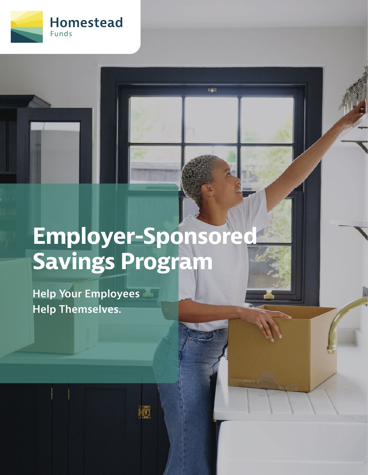

# **Employer-Sponsored Savings Program**

io

ogo

**Help Your Employees Help Themselves.**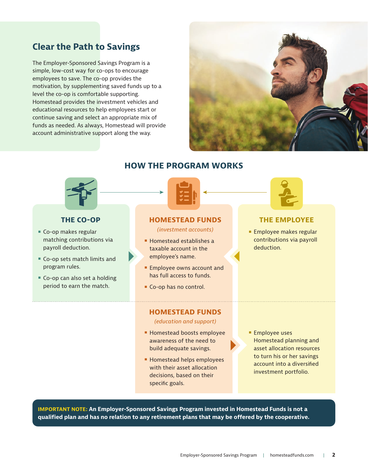## **Clear the Path to Savings**

The Employer-Sponsored Savings Program is a simple, low-cost way for co-ops to encourage employees to save. The co-op provides the motivation, by supplementing saved funds up to a level the co-op is comfortable supporting. Homestead provides the investment vehicles and educational resources to help employees start or continue saving and select an appropriate mix of funds as needed. As always, Homestead will provide account administrative support along the way.





#### **THE CO-OP**

- Co-op makes regular matching contributions via payroll deduction.
- Co-op sets match limits and program rules.
- Co-op can also set a holding period to earn the match.

**HOW THE PROGRAM WORKS**



**HOMESTEAD FUNDS**

*(investment accounts)*

- Homestead establishes a taxable account in the employee's name.
- Employee owns account and has full access to funds.
- Co-op has no control.

#### **HOMESTEAD FUNDS**

*(education and support)*

- Homestead boosts employee awareness of the need to build adequate savings.
- Homestead helps employees with their asset allocation decisions, based on their specific goals.
- Employee uses Homestead planning and asset allocation resources to turn his or her savings account into a diversified investment portfolio.

**THE EMPLOYEE**

■ Employee makes regular contributions via payroll

deduction.

**IMPORTANT NOTE: An Employer-Sponsored Savings Program invested in Homestead Funds is not a qualified plan and has no relation to any retirement plans that may be offered by the cooperative.**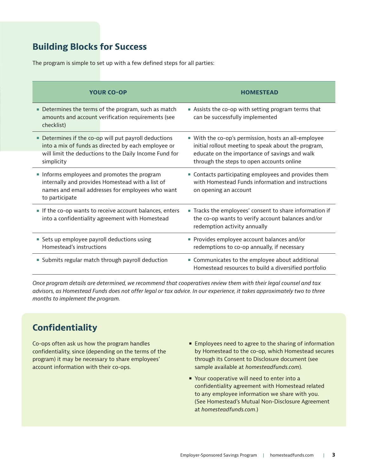## **Building Blocks for Success**

The program is simple to set up with a few defined steps for all parties:

| <b>YOUR CO-OP</b>                                                                                                                                                                    | <b>HOMESTEAD</b>                                                                                                                                                                                          |
|--------------------------------------------------------------------------------------------------------------------------------------------------------------------------------------|-----------------------------------------------------------------------------------------------------------------------------------------------------------------------------------------------------------|
| Determines the terms of the program, such as match<br>amounts and account verification requirements (see<br>checklist)                                                               | Assists the co-op with setting program terms that<br>can be successfully implemented                                                                                                                      |
| • Determines if the co-op will put payroll deductions<br>into a mix of funds as directed by each employee or<br>will limit the deductions to the Daily Income Fund for<br>simplicity | • With the co-op's permission, hosts an all-employee<br>initial rollout meeting to speak about the program,<br>educate on the importance of savings and walk<br>through the steps to open accounts online |
| Informs employees and promotes the program<br>internally and provides Homestead with a list of<br>names and email addresses for employees who want<br>to participate                 | • Contacts participating employees and provides them<br>with Homestead Funds information and instructions<br>on opening an account                                                                        |
| If the co-op wants to receive account balances, enters<br>into a confidentiality agreement with Homestead                                                                            | Tracks the employees' consent to share information if<br>the co-op wants to verify account balances and/or<br>redemption activity annually                                                                |
| Sets up employee payroll deductions using<br>Homestead's instructions                                                                                                                | Provides employee account balances and/or<br>redemptions to co-op annually, if necessary                                                                                                                  |
| • Submits regular match through payroll deduction                                                                                                                                    | • Communicates to the employee about additional<br>Homestead resources to build a diversified portfolio                                                                                                   |

*Once program details are determined, we recommend that cooperatives review them with their legal counsel and tax advisors, as Homestead Funds does not offer legal or tax advice. In our experience, it takes approximately two to three months to implement the program.*

## **Confidentiality**

Co-ops often ask us how the program handles confidentiality, since (depending on the terms of the program) it may be necessary to share employees' account information with their co-ops.

- **Employees need to agree to the sharing of information** by Homestead to the co-op, which Homestead secures through its Consent to Disclosure document (see sample available at *homesteadfunds.com*).
- Your cooperative will need to enter into a confidentiality agreement with Homestead related to any employee information we share with you. (See Homestead's Mutual Non-Disclosure Agreement at *homesteadfunds.com*.)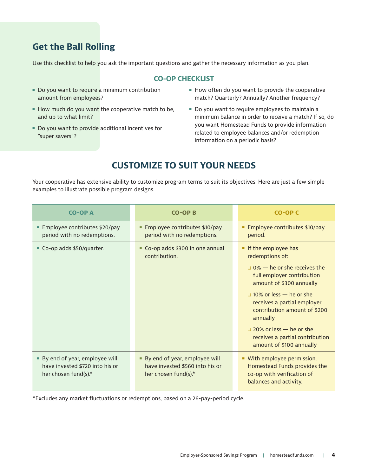## **Get the Ball Rolling**

Use this checklist to help you ask the important questions and gather the necessary information as you plan.

#### **CO-OP CHECKLIST**

- Do you want to require a minimum contribution amount from employees?
- $\blacksquare$  How much do you want the cooperative match to be, and up to what limit?
- Do you want to provide additional incentives for "super savers"?
- $\blacksquare$  How often do you want to provide the cooperative match? Quarterly? Annually? Another frequency?
- Do you want to require employees to maintain a minimum balance in order to receive a match? If so, do you want Homestead Funds to provide information related to employee balances and/or redemption information on a periodic basis?

## **CUSTOMIZE TO SUIT YOUR NEEDS**

Your cooperative has extensive ability to customize program terms to suit its objectives. Here are just a few simple examples to illustrate possible program designs.

| <b>CO-OPA</b>                                                                              | <b>CO-OPB</b>                                                                                 | CO-OP C                                                                                                                                                                                                                                                                                                                                              |
|--------------------------------------------------------------------------------------------|-----------------------------------------------------------------------------------------------|------------------------------------------------------------------------------------------------------------------------------------------------------------------------------------------------------------------------------------------------------------------------------------------------------------------------------------------------------|
| Employee contributes \$20/pay<br>٠<br>period with no redemptions.                          | Employee contributes \$10/pay<br>ш<br>period with no redemptions.                             | <b>Employee contributes \$10/pay</b><br>period.                                                                                                                                                                                                                                                                                                      |
| ■ Co-op adds \$50/quarter.                                                                 | Co-op adds \$300 in one annual<br>contribution.                                               | If the employee has<br>redemptions of:<br>$\Box$ 0% – he or she receives the<br>full employer contribution<br>amount of \$300 annually<br>$\Box$ 10% or less - he or she<br>receives a partial employer<br>contribution amount of \$200<br>annually<br>$\Box$ 20% or less — he or she<br>receives a partial contribution<br>amount of \$100 annually |
| • By end of year, employee will<br>have invested \$720 into his or<br>her chosen fund(s).* | • By end of year, employee will<br>have invested \$560 into his or<br>her chosen fund(s). $*$ | • With employee permission,<br>Homestead Funds provides the<br>co-op with verification of<br>balances and activity.                                                                                                                                                                                                                                  |

\*Excludes any market fluctuations or redemptions, based on a 26-pay-period cycle.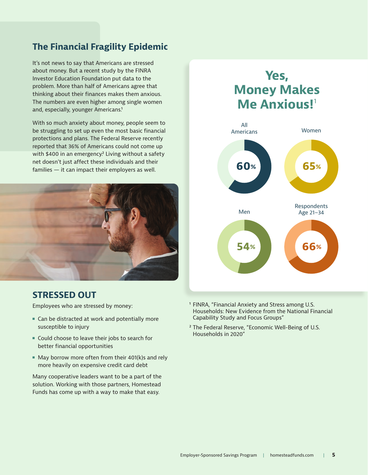## **The Financial Fragility Epidemic**

It's not news to say that Americans are stressed about money. But a recent study by the FINRA Investor Education Foundation put data to the problem. More than half of Americans agree that thinking about their finances makes them anxious. The numbers are even higher among single women and, especially, younger Americans.<sup>1</sup>

With so much anxiety about money, people seem to be struggling to set up even the most basic financial protections and plans. The Federal Reserve recently reported that 36% of Americans could not come up with \$400 in an emergency.<sup>2</sup> Living without a safety net doesn't just affect these individuals and their families — it can impact their employers as well.



### **STRESSED OUT**

Employees who are stressed by money:

- Can be distracted at work and potentially more susceptible to injury
- Could choose to leave their jobs to search for better financial opportunities
- $\blacksquare$  May borrow more often from their 401(k)s and rely more heavily on expensive credit card debt

Many cooperative leaders want to be a part of the solution. Working with those partners, Homestead Funds has come up with a way to make that easy.

# **Yes, Money Makes Me Anxious!**<sup>1</sup> **54% 66%**



- <sup>1</sup> FINRA, "Financial Anxiety and Stress among U.S. Households: New Evidence from the National Financial Capability Study and Focus Groups"
- ² The Federal Reserve, "Economic Well-Being of U.S. Households in 2020"